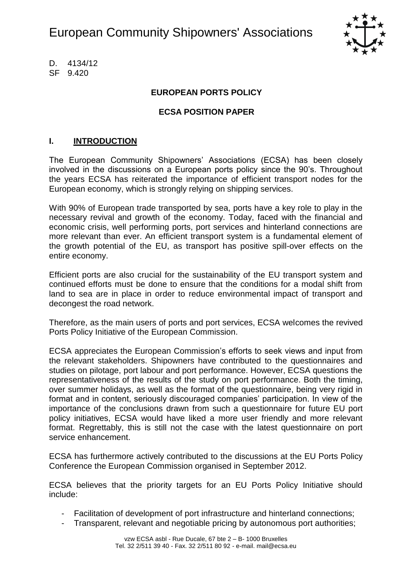

D. 4134/12 SF 9.420

### **EUROPEAN PORTS POLICY**

#### **ECSA POSITION PAPER**

#### **I. INTRODUCTION**

The European Community Shipowners" Associations (ECSA) has been closely involved in the discussions on a European ports policy since the 90"s. Throughout the years ECSA has reiterated the importance of efficient transport nodes for the European economy, which is strongly relying on shipping services.

With 90% of European trade transported by sea, ports have a key role to play in the necessary revival and growth of the economy. Today, faced with the financial and economic crisis, well performing ports, port services and hinterland connections are more relevant than ever. An efficient transport system is a fundamental element of the growth potential of the EU, as transport has positive spill-over effects on the entire economy.

Efficient ports are also crucial for the sustainability of the EU transport system and continued efforts must be done to ensure that the conditions for a modal shift from land to sea are in place in order to reduce environmental impact of transport and decongest the road network.

Therefore, as the main users of ports and port services, ECSA welcomes the revived Ports Policy Initiative of the European Commission.

ECSA appreciates the European Commission"s efforts to seek views and input from the relevant stakeholders. Shipowners have contributed to the questionnaires and studies on pilotage, port labour and port performance. However, ECSA questions the representativeness of the results of the study on port performance. Both the timing, over summer holidays, as well as the format of the questionnaire, being very rigid in format and in content, seriously discouraged companies' participation. In view of the importance of the conclusions drawn from such a questionnaire for future EU port policy initiatives, ECSA would have liked a more user friendly and more relevant format. Regrettably, this is still not the case with the latest questionnaire on port service enhancement.

ECSA has furthermore actively contributed to the discussions at the EU Ports Policy Conference the European Commission organised in September 2012.

ECSA believes that the priority targets for an EU Ports Policy Initiative should include:

- Facilitation of development of port infrastructure and hinterland connections;
- Transparent, relevant and negotiable pricing by autonomous port authorities;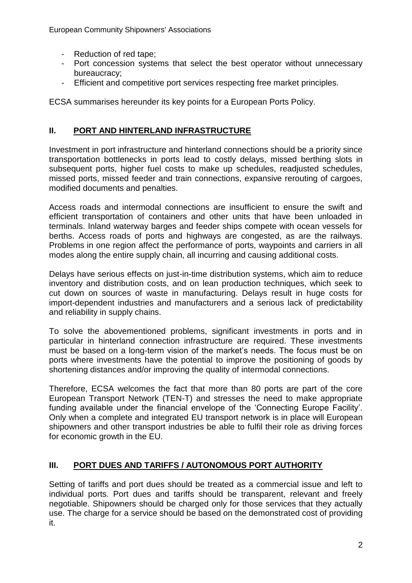- Reduction of red tape;
- Port concession systems that select the best operator without unnecessary bureaucracy;
- Efficient and competitive port services respecting free market principles.

ECSA summarises hereunder its key points for a European Ports Policy.

## **II. PORT AND HINTERLAND INFRASTRUCTURE**

Investment in port infrastructure and hinterland connections should be a priority since transportation bottlenecks in ports lead to costly delays, missed berthing slots in subsequent ports, higher fuel costs to make up schedules, readjusted schedules, missed ports, missed feeder and train connections, expansive rerouting of cargoes, modified documents and penalties.

Access roads and intermodal connections are insufficient to ensure the swift and efficient transportation of containers and other units that have been unloaded in terminals. Inland waterway barges and feeder ships compete with ocean vessels for berths. Access roads of ports and highways are congested, as are the railways. Problems in one region affect the performance of ports, waypoints and carriers in all modes along the entire supply chain, all incurring and causing additional costs.

Delays have serious effects on just-in-time distribution systems, which aim to reduce inventory and distribution costs, and on lean production techniques, which seek to cut down on sources of waste in manufacturing. Delays result in huge costs for import-dependent industries and manufacturers and a serious lack of predictability and reliability in supply chains.

To solve the abovementioned problems, significant investments in ports and in particular in hinterland connection infrastructure are required. These investments must be based on a long-term vision of the market"s needs. The focus must be on ports where investments have the potential to improve the positioning of goods by shortening distances and/or improving the quality of intermodal connections.

Therefore, ECSA welcomes the fact that more than 80 ports are part of the core European Transport Network (TEN-T) and stresses the need to make appropriate funding available under the financial envelope of the "Connecting Europe Facility". Only when a complete and integrated EU transport network is in place will European shipowners and other transport industries be able to fulfil their role as driving forces for economic growth in the EU.

# **III. PORT DUES AND TARIFFS / AUTONOMOUS PORT AUTHORITY**

Setting of tariffs and port dues should be treated as a commercial issue and left to individual ports. Port dues and tariffs should be transparent, relevant and freely negotiable. Shipowners should be charged only for those services that they actually use. The charge for a service should be based on the demonstrated cost of providing it.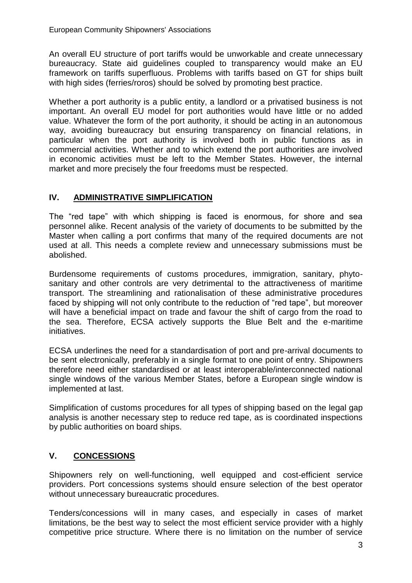An overall EU structure of port tariffs would be unworkable and create unnecessary bureaucracy. State aid guidelines coupled to transparency would make an EU framework on tariffs superfluous. Problems with tariffs based on GT for ships built with high sides (ferries/roros) should be solved by promoting best practice.

Whether a port authority is a public entity, a landlord or a privatised business is not important. An overall EU model for port authorities would have little or no added value. Whatever the form of the port authority, it should be acting in an autonomous way, avoiding bureaucracy but ensuring transparency on financial relations, in particular when the port authority is involved both in public functions as in commercial activities. Whether and to which extend the port authorities are involved in economic activities must be left to the Member States. However, the internal market and more precisely the four freedoms must be respected.

## **IV. ADMINISTRATIVE SIMPLIFICATION**

The "red tape" with which shipping is faced is enormous, for shore and sea personnel alike. Recent analysis of the variety of documents to be submitted by the Master when calling a port confirms that many of the required documents are not used at all. This needs a complete review and unnecessary submissions must be abolished.

Burdensome requirements of customs procedures, immigration, sanitary, phytosanitary and other controls are very detrimental to the attractiveness of maritime transport. The streamlining and rationalisation of these administrative procedures faced by shipping will not only contribute to the reduction of "red tape", but moreover will have a beneficial impact on trade and favour the shift of cargo from the road to the sea. Therefore, ECSA actively supports the Blue Belt and the e-maritime initiatives.

ECSA underlines the need for a standardisation of port and pre-arrival documents to be sent electronically, preferably in a single format to one point of entry. Shipowners therefore need either standardised or at least interoperable/interconnected national single windows of the various Member States, before a European single window is implemented at last.

Simplification of customs procedures for all types of shipping based on the legal gap analysis is another necessary step to reduce red tape, as is coordinated inspections by public authorities on board ships.

# **V. CONCESSIONS**

Shipowners rely on well-functioning, well equipped and cost-efficient service providers. Port concessions systems should ensure selection of the best operator without unnecessary bureaucratic procedures.

Tenders/concessions will in many cases, and especially in cases of market limitations, be the best way to select the most efficient service provider with a highly competitive price structure. Where there is no limitation on the number of service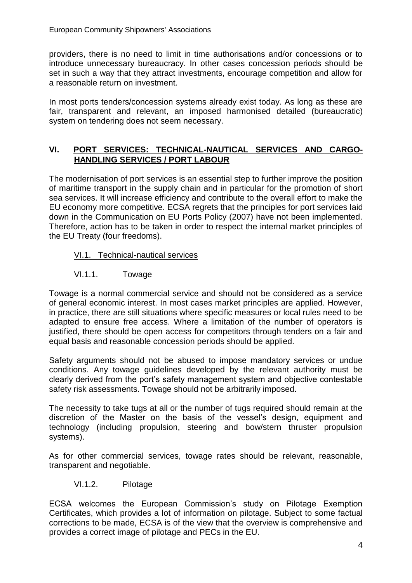providers, there is no need to limit in time authorisations and/or concessions or to introduce unnecessary bureaucracy. In other cases concession periods should be set in such a way that they attract investments, encourage competition and allow for a reasonable return on investment.

In most ports tenders/concession systems already exist today. As long as these are fair, transparent and relevant, an imposed harmonised detailed (bureaucratic) system on tendering does not seem necessary.

## **VI. PORT SERVICES: TECHNICAL-NAUTICAL SERVICES AND CARGO-HANDLING SERVICES / PORT LABOUR**

The modernisation of port services is an essential step to further improve the position of maritime transport in the supply chain and in particular for the promotion of short sea services. It will increase efficiency and contribute to the overall effort to make the EU economy more competitive. ECSA regrets that the principles for port services laid down in the Communication on EU Ports Policy (2007) have not been implemented. Therefore, action has to be taken in order to respect the internal market principles of the EU Treaty (four freedoms).

### VI.1. Technical-nautical services

### VI.1.1. Towage

Towage is a normal commercial service and should not be considered as a service of general economic interest. In most cases market principles are applied. However, in practice, there are still situations where specific measures or local rules need to be adapted to ensure free access. Where a limitation of the number of operators is justified, there should be open access for competitors through tenders on a fair and equal basis and reasonable concession periods should be applied.

Safety arguments should not be abused to impose mandatory services or undue conditions. Any towage guidelines developed by the relevant authority must be clearly derived from the port"s safety management system and objective contestable safety risk assessments. Towage should not be arbitrarily imposed.

The necessity to take tugs at all or the number of tugs required should remain at the discretion of the Master on the basis of the vessel"s design, equipment and technology (including propulsion, steering and bow/stern thruster propulsion systems).

As for other commercial services, towage rates should be relevant, reasonable, transparent and negotiable.

VI.1.2. Pilotage

ECSA welcomes the European Commission"s study on Pilotage Exemption Certificates, which provides a lot of information on pilotage. Subject to some factual corrections to be made, ECSA is of the view that the overview is comprehensive and provides a correct image of pilotage and PECs in the EU.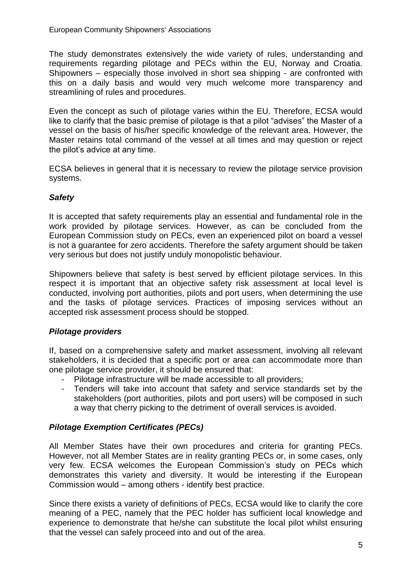The study demonstrates extensively the wide variety of rules, understanding and requirements regarding pilotage and PECs within the EU, Norway and Croatia. Shipowners – especially those involved in short sea shipping - are confronted with this on a daily basis and would very much welcome more transparency and streamlining of rules and procedures.

Even the concept as such of pilotage varies within the EU. Therefore, ECSA would like to clarify that the basic premise of pilotage is that a pilot "advises" the Master of a vessel on the basis of his/her specific knowledge of the relevant area. However, the Master retains total command of the vessel at all times and may question or reject the pilot's advice at any time.

ECSA believes in general that it is necessary to review the pilotage service provision systems.

### *Safety*

It is accepted that safety requirements play an essential and fundamental role in the work provided by pilotage services. However, as can be concluded from the European Commission study on PECs, even an experienced pilot on board a vessel is not a guarantee for zero accidents. Therefore the safety argument should be taken very serious but does not justify unduly monopolistic behaviour.

Shipowners believe that safety is best served by efficient pilotage services. In this respect it is important that an objective safety risk assessment at local level is conducted, involving port authorities, pilots and port users, when determining the use and the tasks of pilotage services. Practices of imposing services without an accepted risk assessment process should be stopped.

### *Pilotage providers*

If, based on a comprehensive safety and market assessment, involving all relevant stakeholders, it is decided that a specific port or area can accommodate more than one pilotage service provider, it should be ensured that:

- Pilotage infrastructure will be made accessible to all providers;
- Tenders will take into account that safety and service standards set by the stakeholders (port authorities, pilots and port users) will be composed in such a way that cherry picking to the detriment of overall services is avoided.

### *Pilotage Exemption Certificates (PECs)*

All Member States have their own procedures and criteria for granting PECs. However, not all Member States are in reality granting PECs or, in some cases, only very few. ECSA welcomes the European Commission"s study on PECs which demonstrates this variety and diversity. It would be interesting if the European Commission would – among others - identify best practice.

Since there exists a variety of definitions of PECs, ECSA would like to clarify the core meaning of a PEC, namely that the PEC holder has sufficient local knowledge and experience to demonstrate that he/she can substitute the local pilot whilst ensuring that the vessel can safely proceed into and out of the area.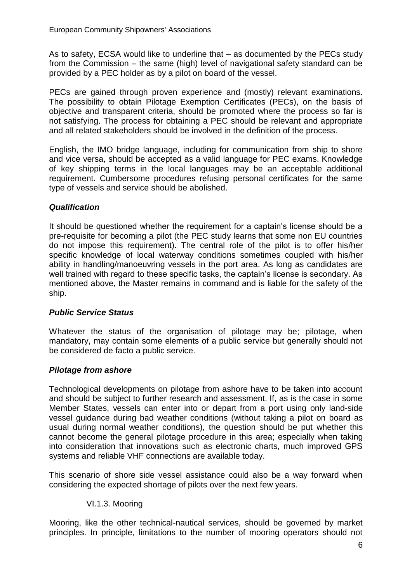As to safety, ECSA would like to underline that – as documented by the PECs study from the Commission – the same (high) level of navigational safety standard can be provided by a PEC holder as by a pilot on board of the vessel.

PECs are gained through proven experience and (mostly) relevant examinations. The possibility to obtain Pilotage Exemption Certificates (PECs), on the basis of objective and transparent criteria, should be promoted where the process so far is not satisfying. The process for obtaining a PEC should be relevant and appropriate and all related stakeholders should be involved in the definition of the process.

English, the IMO bridge language, including for communication from ship to shore and vice versa, should be accepted as a valid language for PEC exams. Knowledge of key shipping terms in the local languages may be an acceptable additional requirement. Cumbersome procedures refusing personal certificates for the same type of vessels and service should be abolished.

### *Qualification*

It should be questioned whether the requirement for a captain's license should be a pre-requisite for becoming a pilot (the PEC study learns that some non EU countries do not impose this requirement). The central role of the pilot is to offer his/her specific knowledge of local waterway conditions sometimes coupled with his/her ability in handling/manoeuvring vessels in the port area. As long as candidates are well trained with regard to these specific tasks, the captain"s license is secondary. As mentioned above, the Master remains in command and is liable for the safety of the ship.

### *Public Service Status*

Whatever the status of the organisation of pilotage may be; pilotage, when mandatory, may contain some elements of a public service but generally should not be considered de facto a public service.

### *Pilotage from ashore*

Technological developments on pilotage from ashore have to be taken into account and should be subject to further research and assessment. If, as is the case in some Member States, vessels can enter into or depart from a port using only land-side vessel guidance during bad weather conditions (without taking a pilot on board as usual during normal weather conditions), the question should be put whether this cannot become the general pilotage procedure in this area; especially when taking into consideration that innovations such as electronic charts, much improved GPS systems and reliable VHF connections are available today.

This scenario of shore side vessel assistance could also be a way forward when considering the expected shortage of pilots over the next few years.

### VI.1.3. Mooring

Mooring, like the other technical-nautical services, should be governed by market principles. In principle, limitations to the number of mooring operators should not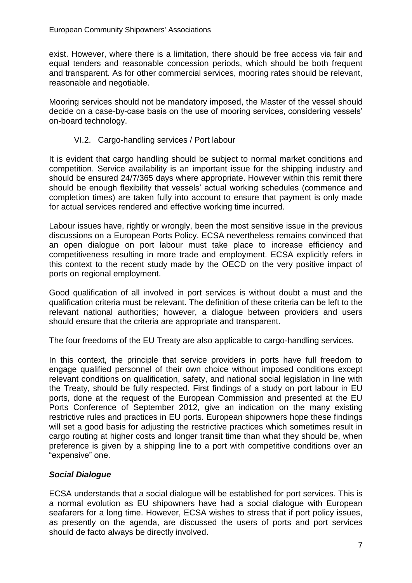exist. However, where there is a limitation, there should be free access via fair and equal tenders and reasonable concession periods, which should be both frequent and transparent. As for other commercial services, mooring rates should be relevant, reasonable and negotiable.

Mooring services should not be mandatory imposed, the Master of the vessel should decide on a case-by-case basis on the use of mooring services, considering vessels" on-board technology.

#### VI.2. Cargo-handling services / Port labour

It is evident that cargo handling should be subject to normal market conditions and competition. Service availability is an important issue for the shipping industry and should be ensured 24/7/365 days where appropriate. However within this remit there should be enough flexibility that vessels" actual working schedules (commence and completion times) are taken fully into account to ensure that payment is only made for actual services rendered and effective working time incurred.

Labour issues have, rightly or wrongly, been the most sensitive issue in the previous discussions on a European Ports Policy. ECSA nevertheless remains convinced that an open dialogue on port labour must take place to increase efficiency and competitiveness resulting in more trade and employment. ECSA explicitly refers in this context to the recent study made by the OECD on the very positive impact of ports on regional employment.

Good qualification of all involved in port services is without doubt a must and the qualification criteria must be relevant. The definition of these criteria can be left to the relevant national authorities; however, a dialogue between providers and users should ensure that the criteria are appropriate and transparent.

The four freedoms of the EU Treaty are also applicable to cargo-handling services.

In this context, the principle that service providers in ports have full freedom to engage qualified personnel of their own choice without imposed conditions except relevant conditions on qualification, safety, and national social legislation in line with the Treaty, should be fully respected. First findings of a study on port labour in EU ports, done at the request of the European Commission and presented at the EU Ports Conference of September 2012, give an indication on the many existing restrictive rules and practices in EU ports. European shipowners hope these findings will set a good basis for adjusting the restrictive practices which sometimes result in cargo routing at higher costs and longer transit time than what they should be, when preference is given by a shipping line to a port with competitive conditions over an "expensive" one.

#### *Social Dialogue*

ECSA understands that a social dialogue will be established for port services. This is a normal evolution as EU shipowners have had a social dialogue with European seafarers for a long time. However, ECSA wishes to stress that if port policy issues, as presently on the agenda, are discussed the users of ports and port services should de facto always be directly involved.